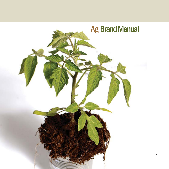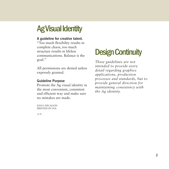# **Ag Visual Identity**

#### **A guideline for creative talent.**

"Too much flexibility results in complete chaos, too much structure results in lifeless communications. Balance is the goal."

All permissions are denied unless expressly granted.

#### **Guideline Purpose**

Promote the Ag visual identity in the most convenient, consistent and efficient way and make sure no mistakes are made.

©2011 DECAGON PRINTED IN USA

# **Design Continuity**

*These guidelines are not intended to provide every detail regarding graphics applications, production processes and standards, but to provide general direction for maintaining consistency with the Ag identity.*

v1.0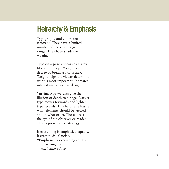### **Heirarchy & Emphasis**

Typography and colors are *palettes.* They have a limited number of choices in a given range. They have shades or weight.

Type on a page appears as a gray block to the eye. Weight is a degree of *boldness* or *shade.* Weight helps the viewer determine what is most important. It creates interest and attractive design.

Varying type weights give the illusion of depth to a page. Darker type moves forwards and lighter type receeds. This helps emphasize what elements should be viewed and in what order. These direct the eye of the observer or reader. This is presentation strategy.

If everything is emphasied equally, it creates visual noise. "Emphasizing everything equals emphasizing nothing." *—marketing adage.*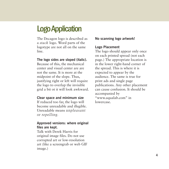# **Logo Application**

The Decagon logo is described as a *stack* logo. Word parts of the logotype are not all on the same line.

#### **The logo sides are sloped (italic).**

Because of this, the mechanical center and visual center are are not the same. It is more at the midpoint of the slope. Thus, justifying right or left will require the logo to overlap the invisible grid a bit ot it will look awkward.

#### **Clear space and minimum size**

If reduced too far, the logo will become unreadable and illegible. Unreadable means *unpleasant or repelling.*

### **Approved versions: where original files are kept.**

Talk with Derek Harris for original image files. Do not use corrupted art or low-resolution art (like a screengrab or web GIF image.)

#### **No scanning logo artwork!**

#### **Logo Placement**

The logo should appear only once on each printed spread (not each page.) The appropriate location is in the lower right-hand corner of the spread. This is where it is expected to appear by the audience. The same is true for print ads and single page publications. Any other placement can cause confusion. It should be accompanied by "www.aqualab.com" in lowercase.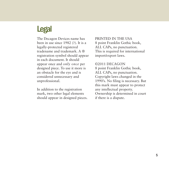# **Legal**

The Decagon Devices name has been in use since 1982 (?). It is a legally-protected registered tradename and trademark. A ® registration symbol should appear in each document. It should appear once and *only once* per designed piece. To use it more is an obstacle for the eye and is considered unnecessary and unprofessional.

In addition to the registration mark, two other legal elements should appear in designed pieces. PRINTED IN THE USA 8 point Franklin Gothic book, ALL CAPs, no punctuation. This is required for international import/export laws.

©2011 DECAGON 8 point Franklin Gothic book, ALL CAPs, no punctuation. Copyright laws changed in the 1990's. No filing is necessary. But this mark must appear to protect any intellectual property. Ownership is determined in court if there is a dispute.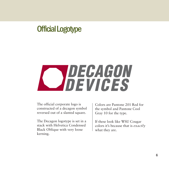# **Official Logotype**



The official corporate logo is constructed of a decagon symbol reversed out of a slanted square.

The Decagon logotype is set in a stack with Helvetica Condensed Black Oblique with very loose kerning.

Colors are Pantone 201 Red for the symbol and Pantone Cool Gray 10 for the type.

If these look like WSU Cougar colors it's because that is *exactly* what they are.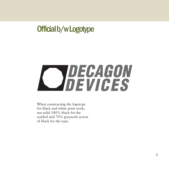# **Official b/w Logotype**



When constructing the logotype for black and white print work, use solid 100% black for the symbol and 70% grayscale screen of black for the type.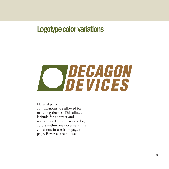### **Logotype color variations**



Natural palette color combinations are allowed for matching themes. This allows latitude for contrast and readability. Do not vary the logo colors within one document. Be consistent in use from page to page. Reverses are allowed.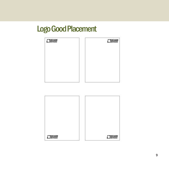# **Logo Good Placement**

| CJOECAGON | <b>CJascasow</b> |
|-----------|------------------|
|           |                  |
|           |                  |
|           |                  |
|           |                  |
|           |                  |

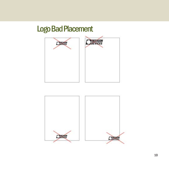# **Logo Bad Placement**



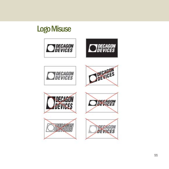# **Logo Misuse**

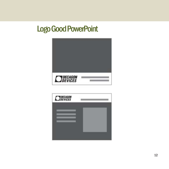# **Logo Good PowerPoint**



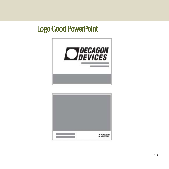### **Logo Good PowerPoint**



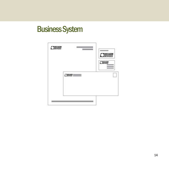# **Business System**

|                             | <b>DECAGON</b>  |
|-----------------------------|-----------------|
|                             | <b>CHECASON</b> |
| <b>Japanese</b><br>신환에 사용하다 |                 |
|                             |                 |
|                             |                 |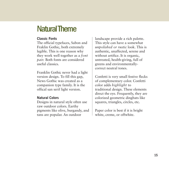### **Natural Theme**

### **Classic Fonts**

The official typefaces, Sabon and Fraklin Gothic, both extremely legible. This is one reason why they work well together as a *font pair.* Both fonts are considered useful classics.

Franklin Gothic never had a light version design. To fill this gap, News Gothic was created as a companion type family. It is the offical san serif light version.

### **Natural Colors**

Designs in natural style often use raw outdoor colors. Earthy pigments like olive, burgandy, and tans are popular. An outdoor

landscape provide a rich palette. This style can have a somewhat *unpolished or rustic* look. This is authentic, unaffected, serene and without artifice. It is organic, untreated, health-giving, full of greens and environmentallycorrect neutral tones.

Confetti is very small festive flecks of complementary color. Confetti color adds *highlight* to traditional design. These elements direct the eye. Frequently, they are colorized geometric dingbats like squares, triangles, circles, etc.

Paper color is best if it is bright white, creme, or offwhite.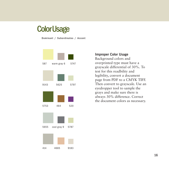### **Color Usage**

**Dominant / Subordinates / Accent**



#### **Improper Color Usage**

Background colors and overprinted type must have a grayscale differential of 30%. To test for this readbility and legibility, convert a document page from PDF to a CMYK TIFF. Then convert to grayscale. Use an eyedropper tool to sample the grays and make sure there is always 30% difference. Correct the document colors as necessary.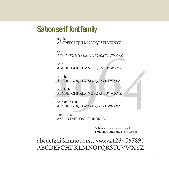### **Sabon serif font family**

regular ABCDEFGHIJKLMNOPQRSTUVWXYZ

italic *ABCDEFGHIJKLMNOPQRSTUVWXYZ*

ABCDEFGHIJKLMNOPQRSTUVWXYZ<br>
bold<br>
ABCDEFGHIJKLMNOPQRSTUVWXYZ<br>
bold italic<br>
ABCDEFGHIJKLMNOPQRSTUVWXYZ<br>
bold OsF<br>
ABCDEFGHIJKLMNOPQRSTUVWXYZ<br>
bold italic OsF<br>
ABCDEFGHIJKLMNOPQRSTUVWXYZ bold **ABCDEFGHIJKLMNOPQRSTUVWXYZ**

bold italic *ABCDEFGHIJKLMNOPQRSTUVWXYZ*

bold OsF **ABCDEFGHIJKLMNOPQRSTUVWXYZ**

bold italic OsF *ABCDEFGHIJKLMNOPQRSTUVWXYZ*

small caps AaBbCcDdEeFfGgHhIiJjKkLl

> Sabon works as a font pair to Franklin Gothic and News Gothic

abcdefghijklmnopqrstuvwxyz1234567890 ABCDEFGHIJKLMNOPQRSTUVWXYZ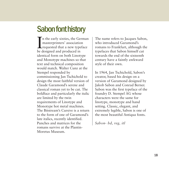# **Sabon font history**

 $\prod_{\text{be } a}$ n the early sixties, the German masterprinters' association requested that a new typeface be designed and produced in identical form on both Linotype and Monotype machines so that text and technical composition would match. Walter Cunz at the Stempel responded by commissioning Jan Tschichold to design the most faithful version of Claude Garamond's serene and classical roman yet to be cut. The boldface and particularly the italic are limited by the twin requirements of Linotype and Monotype hot metal machines. The Bitstream's Cursive is a return to the form of one of Garamond's late italics, recently identified. Punches and matrices for the romans survive at the Plantin-Moretus Museum.

The name refers to Jacques Sabon, who introduced Garamond's romans to Frankfurt, although the typefaces that Sabon himself cut towards the end of the sixteenth century have a faintly awkward style of their own.

In 1964, Jan Tschichold, Sabon's creator, based his design on a version of Garamond designed by Jakob Sabon and Conrad Berner. Sabon was the first typeface of the foundry D. Stempel AG whose characters were the same for linotype, monotype and hand setting. Classic, elegant, and extremely legible, Sabon is one of the most beautiful Antiqua fonts.

*Sabon- bd, reg, itl*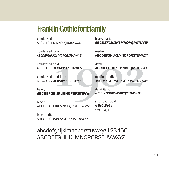### **Franklin Gothic font family**

condensed ABCDEFGHIJKLMNOPQRSTUVWXYZ

condensed italic *ABCDEFGHIJKLMNOPQRSTUVWXYZ*

condensed bold **ABCDEFGHIJKLMNOPQRSTUVWXYZ**

condensed bold italic *ABCDEFGHIJKLMNOPQRSTUVWXYZ*

heavy ABCDEFGHIJKLMNOPQRSTUVW

black ABCDEFGHIJKLMNOPQRSTUVWXYZ

black italic *ABCDEFGHIJKLMNOPQRSTUVWXYZ*

heavy italic *ABCDEFGHIJKLMNOPQRSTUVW*

Fitalic medium<br>
1902<br>
1902<br>
1902<br>
1902<br>
1902<br>
1902<br>
1902<br>
1902<br>
1902<br>
1902<br>
1902<br>
1902<br>
1902<br>
1902<br>
1902<br>
1902<br>
1902<br>
1902<br>
1902<br>
1902<br>
1902<br>
1902<br>
1902<br>
1902<br>
1902<br>
1902<br>
1902<br>
1902<br>
1902<br>
1902<br>
1902<br>
1902<br>
1902<br>
1902<br>
19 medium ABCDEFGHIJKLMNOPQRSTUVWXY

demi ABCDEFGHIJKLMNOPQRSTUVWX

medium italic *ABCDEFGHIJKLMNOPQRSTUVWXY*

demi italic *ABCDEFGHIJKLMNOPQRSTUVWXYZ*

smallcaps bold **AaBbCcDdEe** smallcaps

abcdefghijklmnopqrstuvwxyz123456 ABCDEFGHIJKLMNOPQRSTUVWXYZ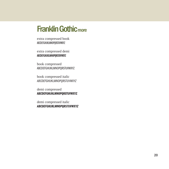### **Franklin Gothic more**

extra compressed book ABCDEFGHIJKLMNOPQRSTUVWXYZ

extra compressed demi **ABCDEFGHIJKLMNOPQRSTUVWXYZ**

book compressed ABCDEFGHIJKLMNOPQRSTUVWXYZ

book compressed italic *ABCDEFGHIJKLMNOPQRSTUVWXYZ*

demi compressed **ABCDEFGHIJKLMNOPQRSTUVWXYZ**

demi compressed italic *ABCDEFGHIJKLMNOPQRSTUVWXYZ*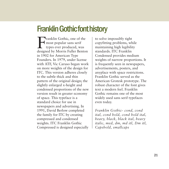### **Franklin Gothic font history**

Franklin Gothic, one of the most popular sans serif types ever produced, was designed by Morris Fuller Benton in 1902 for American Type Founders. In 1979, under license with ATF, Vic Caruso began work on more weights of the design for ITC. This version adheres closely to the subtle thick and thin pattern of the original design; the slightly enlarged x-height and condensed proportions of the new version result in greater economy of space. This typeface is a standard choice for use in newspapers and advertising. In 1991, David Berlow completed the family for ITC by creating compressed and condensed weights. ITC Franklin Gothic Compressed is designed especially

to solve impossibly tight copyfitting problems, while maintaining high legibility standards. ITC Franklin Condensed provides medium weights of narrow proportions. It is frequently seen in newspapers, advertisements, posters, and anyplace with space restrictions. Franklin Gothic served as the American Grotesk prototype. The robust character of the font gives text a modern feel. Franklin Gothic remains one of the most widely used sans serif typefaces even today.

*Franklin Gothic- cond, cond ital, cond bold, cond bold ital, heavy, black, black ital, heavy italic, med, dm, md itl, Dm itl, Capsbold, smallcaps*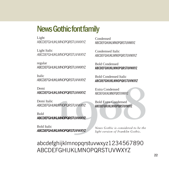### **News Gothic font family**

Light ABCDFFGHIJKI MNOPORSTUWWXYZ

Light Italic *ABCDEFGHIJKLMNOPQRSTUVWXYZ*

regular ABCDEFGHIJKLMNOPQRSTUVWXYZ

Italic *ABCDEFGHIJKLMNOPQRSTUVWXYZ*

Demi ABCDEFGHIJKLMNOPQRSTUVWXYZ

Demi Italic *ABCDEFGHIJKLMNOPQRSTUVWXYZ*

Bold **ABCDEFGHIJKLMNOPQRSTUVWXYZ**

Bold Italic *ABCDEFGHIJKLMNOPQRSTUVWXYZ* Condensed ABCDEFGHIJKLMNOPQRSTUVWXYZ

Condemsed Italic *ABCDEFGHIJKLMNOPQRSTUVWXYZ*

Bold Condensed **ABCDEFGHIJKLMNOPQRSTUVWXYZ**

Bold Condensed Italic *ABCDEFGHIJKLMNOPQRSTUVWXYZ*

Extra Condensed ABCDEFGHIJKI MNOPORSTUVWXYZ

Bold Extra Condensed **ABCDEFGHIJKLMNOPQRSTUVWXYZ**

HIJKLMNOPQRSTUVWXYZ<br> **1908** HUKLMNOPQRSTUWWXYZ<br>
Extra Condensed<br>
HUKLMNOPQRSTUWWXYZ<br>
BOLD Extra Condensed<br>
HUKLMNOPQRSTUWWXYZ<br>
C<br>
C<br>
News Gothic is considered to be the<br>
HUKLMNOPQRSTUWWXYZ<br>
News Gothic is considered to be *News Gothic is considered to be the light version of Franklin Gothic.*

### abcdefghijklmnopqrstuvwxyz1234567890 ABCDEFGHIJKLMNOPQRSTUVWXYZ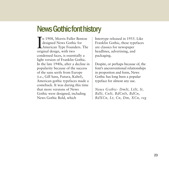### **News Gothic font history**

In 1908, Morris Fuller<br>designed News Gothi<br>American Type Found<br>original design, with two n 1908, Morris Fuller Benton designed News Gothic for American Type Founders. The condensed faces, is essentially a light version of Franklin Gothic. In the late 1940s, after a decline in popularity because of the success of the sans serifs from Europe (i.e., Gill Sans, Futura, Kabel), American gothic typefaces made a comeback. It was during this time that more versions of News Gothic were designed, including News Gothic Bold, which

Intertype released in 1955. Like Franklin Gothic, these typefaces are classics for newspaper headlines, advertising, and packaging.

Despite, or perhaps because of, the font's unconventional relationships in proportion and form, News Gothic has long been a popular typeface for almost any use.

*News Gothic- DmIt, LtIt, It, BdIt, CnIt, BdCnIt, BdCn, BdXCn, Lt, Cn, Dm, XCn, reg*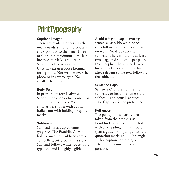# **Print Typography**

### **Captions Images**

These are reader stoppers. Each image needs a caption to create an entry point onto the page. Three or four lines maximum— the last line two-thirds length. Italic Sabon typeface is acceptable. Caption text uses loose kerning for legibility. Not written over the photo or in reverse type. No smaller than 9 point.

### **Body Text**

In print, body text is always Sabon. Franklin Gothic is used for all other applications. Word emphasis is shown with Sabon Italic—not with bolding or quote marks.

### **Subheads**

Subheads break up columns of gray text. Use Franklin Gothic bold or medium. Subheads are a compelling entry point in a story. Subhead follows white space, bold typeface, and is highly legible.

Avoid using all caps, favoring sentence case. No white space <cr> following the subhead (even on web.) No drop cap after subhead. There should be at least two staggered subheads per page. Don't orphan the subhead: two lines copy before and three lines after relevant to the text following the subhead.

### **Sentence Caps**

Sentence Caps are not used for subheads or headlines unless the subhead is an actual sentence. Title Cap style is the preference.

### **Pull quote**

The pull quote is usually text taken from the article. Use Franklin Gothic medium or bold with airy leading, and it should span a gutter. For pull quotes, the quotation marks should be single, with a caption containing an attribution (source) when possible.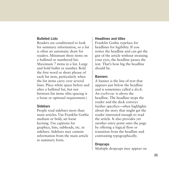### **Bulleted Lists**

Readers are conditioned to look for summary information, so a list is often an automatic draw for readers. Minimum three items on a bulleted or numbered list. Maximum 7 items in a list. Large and bold bullet or number. Bold the first word or short phrase of each list item, particularly when the list items carry over several lines. Place white space before and after a bulleted list, but not between list items (this spacing is a loose or optional requirement.)

#### **Sidebars**

People read sidebars more than main articles. Use Franklin Gothic medium or bold, set loose kerning. Use captions for graphics, lists, subheads, etc. in sidebars. Sidebars may contain information from the main article in summary form.

#### **Headlines and titles**

Franklin Gothic typeface for headlines for legibility. If you notice the headline and can get the gist of the article without straining your eyes, the headline passes the test. That's how big the headline should be.

### **Banners**

A banner is the line of text that appears just below the headline and is sometimes called a *deck*. An *eyebrow* is above the headline. The headline stops the reader and the deck conveys further specifics—often highlights about the story that might get the reader interested enough to read the article. It also provides yet another entry point onto the page by offering a logical flow or transition from the headline and contrasting typographically.

### **Dropcaps**

Multiple dropcaps may appear on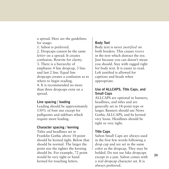a spread. Here are the guidelines for usage:

1. Sabon is preferred. 2. Dropcaps cannot be the same *letter* on a spread. It creates confusion. Rewrite for clarity. 3. There is a hierarchy of emphasis: 4 line dropcap, 3 line. and last 2 line. Equal line dropcaps creates a confusion as to where to begin reading. 4. It is recommended no more than three dropcaps exist on a spread.

#### **Line spacing / leading**

Leading should be approximately 130% of font size except for pullquotes and sidebars which require more leading.

#### **Character spacing / kerning**

Titles and headlines set in Franklin Gothic above 18-point should be kerned tight. Below that should be normal. The larger the point size the tighter the kerning should be. For example, 72 point would be very tight or hand kerned for touching letters.

### **Body Text**

Body text is never *justified* on both borders. This causes *rivers* in the text which distract the eye. Just because you can doesn't mean you should. Stay with ragged right for body text. It is easier to read. Left justified is allowed for captions and heads when appropriate.

### **Use of ALLCAPS, Title Caps, and Small Caps**

ALLCAPS are optional in banners, headlines, and titles and are generally set in 18-point type or larger. Banners should use News Gothic ALLCAPS, and be kerned very loose. Headlines should be tight or very tight.

### **Title Caps**

Sabon Small Caps are always used in the first few words following a drop cap and are set in the same color as the dropcap. They may be bolded. Do not use fake dropcaps except in a jam. Sabon comes with a real dropcap character set. It is always preferred.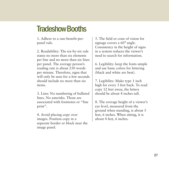### **Tradeshow Booths**

1. Adhere to a one-benefit-perpanel rule.

2. Readability: The six-by-six rule states no more than six elements per line and no more than six lines per panel. The average person's reading rate is about 250 words per minute. Therefore, signs that will only be seen for a few seconds should include no more than six items.

3. Lists: No numbering of bulleted lines. No asterisks. Those are associated with footnotes or "fine print".

4. Avoid placing copy over images. Position copy in a separate border or block near the image panel.

5. The field or cone of vision for signage covers a 60° angle. Consistency in the height of signs in a system reduces the viewer's need to search for information.

6. Legibility: keep the fonts simple and use basic colors for lettering (black and white are best).

7. Legibility: Make type 1 inch high for every 3 feet back. To read copy 12 feet away, the letters should be about 4 inches tall.

8. The average height of a viewer's eye level, measured from the ground when standing, is about 5 feet, 6 inches. When sitting, it is about 4 feet, 6 inches.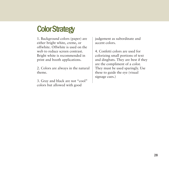# **Color Strategy**

1. Background colors (paper) are either bright white, creme, or offwhite. Offwhite is used on the web to reduce screen contrast. Bright white is recommended in print and booth applications.

2. Colors are always in the natural theme.

3. Gray and black are not "cool" colors but allowed with good

judgement as subordinate and accent colors.

4. Confetti colors are used for colorizing small portions of text and dingbats. They are best if they are the compliment of a color. They must be used sparingly. Use these to guide the eye (visual signage cues.)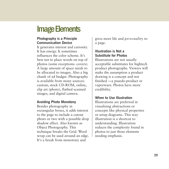### **Image Elements**

### **Photography is a Principle Communication Device**

It generates interest and curiosity. It has energy. It sometimes influences the color scheme. It's best not to place words on top of photos (some exceptions- covers). A large amount of space needs to be allocated to images. Also a big chunk of ad budget. Photography is available from many sources: custom, stock CD-ROM, online, clip art (photo), flatbed scanned images, and digital camera.

### **Avoiding Photo Monotony**

Besides photography in rectangular boxes, it adds interest to the page to include a cutout photo or two with a possible drop shadow effect. Also known as Object Photography. This technique breaks the Grid. Word wrap can be used around an edge. It's a break from monotony and

gives more life and *personality* to a page.

### **Illustration is Not a Substitute for Photos**

Illustrations are not usually acceptable substitutes for hightech product photographs. Viewers will make the assumption a product drawing is a concept and not finished —a psuedo-product or vaporware. Photos have more credibility.

### **When to Use Illustration**

Illustrations are preferred in visualizing abstractions or concepts like physical properites or setup diagrams. This way illustration is a shortcut to understanding. Illustration reduces the complexity found in photos to just those elements needing emphasis.